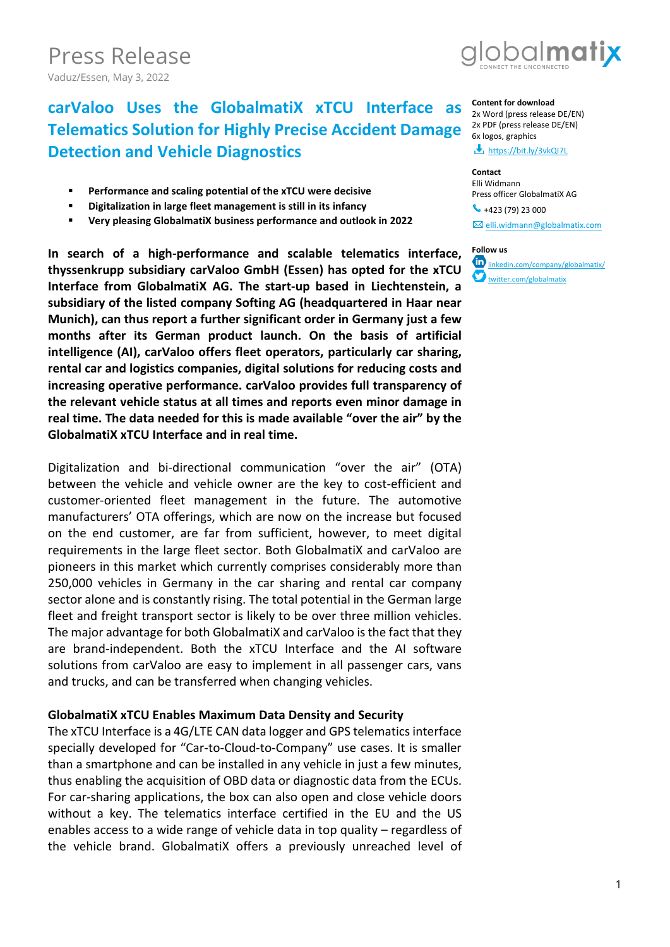Press Release Vaduz/Essen, May 3, 2022



# **carValoo Uses the GlobalmatiX xTCU Interface as Telematics Solution for Highly Precise Accident Damage Detection and Vehicle Diagnostics**

- **Performance and scaling potential of the xTCU were decisive**
- **Digitalization in large fleet management is still in its infancy**
- **Very pleasing GlobalmatiX business performance and outlook in 2022**

**In search of a high-performance and scalable telematics interface, thyssenkrupp subsidiary carValoo GmbH (Essen) has opted for the xTCU Interface from GlobalmatiX AG. The start-up based in Liechtenstein, a subsidiary of the listed company Softing AG (headquartered in Haar near Munich), can thus report a further significant order in Germany just a few months after its German product launch. On the basis of artificial intelligence (AI), carValoo offers fleet operators, particularly car sharing, rental car and logistics companies, digital solutions for reducing costs and increasing operative performance. carValoo provides full transparency of the relevant vehicle status at all times and reports even minor damage in real time. The data needed for this is made available "over the air" by the GlobalmatiX xTCU Interface and in real time.** 

Digitalization and bi-directional communication "over the air" (OTA) between the vehicle and vehicle owner are the key to cost-efficient and customer-oriented fleet management in the future. The automotive manufacturers' OTA offerings, which are now on the increase but focused on the end customer, are far from sufficient, however, to meet digital requirements in the large fleet sector. Both GlobalmatiX and carValoo are pioneers in this market which currently comprises considerably more than 250,000 vehicles in Germany in the car sharing and rental car company sector alone and is constantly rising. The total potential in the German large fleet and freight transport sector is likely to be over three million vehicles. The major advantage for both GlobalmatiX and carValoo is the fact that they are brand-independent. Both the xTCU Interface and the AI software solutions from carValoo are easy to implement in all passenger cars, vans and trucks, and can be transferred when changing vehicles.

## **GlobalmatiX xTCU Enables Maximum Data Density and Security**

The xTCU Interface is a 4G/LTE CAN data logger and GPS telematics interface specially developed for "Car-to-Cloud-to-Company" use cases. It is smaller than a smartphone and can be installed in any vehicle in just a few minutes, thus enabling the acquisition of OBD data or diagnostic data from the ECUs. For car-sharing applications, the box can also open and close vehicle doors without a key. The telematics interface certified in the EU and the US enables access to a wide range of vehicle data in top quality – regardless of the vehicle brand. GlobalmatiX offers a previously unreached level of

### **Content for download**

2x Word (press release DE/EN) 2x PDF (press release DE/EN) 6x logos, graphics

<https://bit.ly/3vkQI7L>

#### **Contact**

Elli Widmann Press officer GlobalmatiX AG

 $\bullet$  +423 (79) 23 000  $\boxtimes$  [elli.widmann@globalmatix.com](mailto:elli.widmann@globalmatix.com)



[linkedin.com/company/globalmatix/](https://linkedin.com/company/globalmatix/) [twitter.com/globalmatix](https://twitter.com/globalmatix)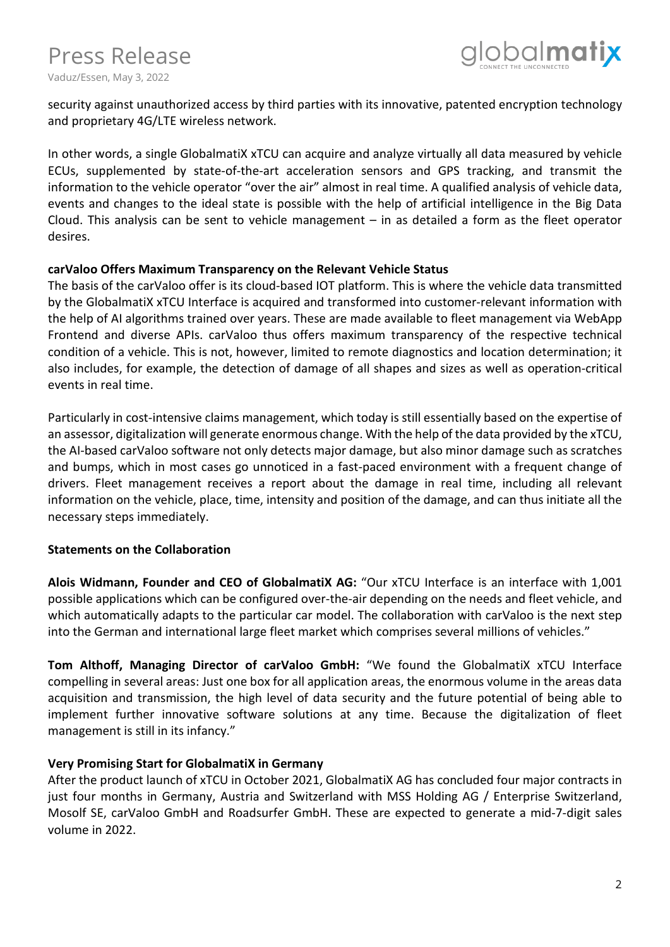

security against unauthorized access by third parties with its innovative, patented encryption technology and proprietary 4G/LTE wireless network.

In other words, a single GlobalmatiX xTCU can acquire and analyze virtually all data measured by vehicle ECUs, supplemented by state-of-the-art acceleration sensors and GPS tracking, and transmit the information to the vehicle operator "over the air" almost in real time. A qualified analysis of vehicle data, events and changes to the ideal state is possible with the help of artificial intelligence in the Big Data Cloud. This analysis can be sent to vehicle management  $-$  in as detailed a form as the fleet operator desires.

### **carValoo Offers Maximum Transparency on the Relevant Vehicle Status**

The basis of the carValoo offer is its cloud-based IOT platform. This is where the vehicle data transmitted by the GlobalmatiX xTCU Interface is acquired and transformed into customer-relevant information with the help of AI algorithms trained over years. These are made available to fleet management via WebApp Frontend and diverse APIs. carValoo thus offers maximum transparency of the respective technical condition of a vehicle. This is not, however, limited to remote diagnostics and location determination; it also includes, for example, the detection of damage of all shapes and sizes as well as operation-critical events in real time.

Particularly in cost-intensive claims management, which today is still essentially based on the expertise of an assessor, digitalization will generate enormous change. With the help of the data provided by the xTCU, the AI-based carValoo software not only detects major damage, but also minor damage such as scratches and bumps, which in most cases go unnoticed in a fast-paced environment with a frequent change of drivers. Fleet management receives a report about the damage in real time, including all relevant information on the vehicle, place, time, intensity and position of the damage, and can thus initiate all the necessary steps immediately.

## **Statements on the Collaboration**

**Alois Widmann, Founder and CEO of GlobalmatiX AG:** "Our xTCU Interface is an interface with 1,001 possible applications which can be configured over-the-air depending on the needs and fleet vehicle, and which automatically adapts to the particular car model. The collaboration with carValoo is the next step into the German and international large fleet market which comprises several millions of vehicles."

**Tom Althoff, Managing Director of carValoo GmbH:** "We found the GlobalmatiX xTCU Interface compelling in several areas: Just one box for all application areas, the enormous volume in the areas data acquisition and transmission, the high level of data security and the future potential of being able to implement further innovative software solutions at any time. Because the digitalization of fleet management is still in its infancy."

# **Very Promising Start for GlobalmatiX in Germany**

After the product launch of xTCU in October 2021, GlobalmatiX AG has concluded four major contracts in just four months in Germany, Austria and Switzerland with MSS Holding AG / Enterprise Switzerland, Mosolf SE, carValoo GmbH and Roadsurfer GmbH. These are expected to generate a mid-7-digit sales volume in 2022.